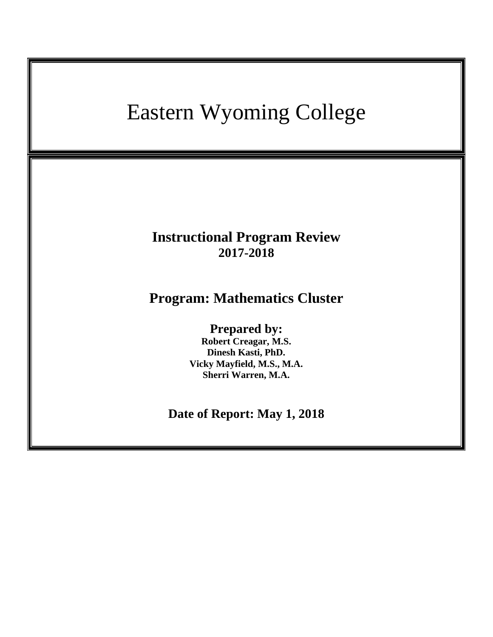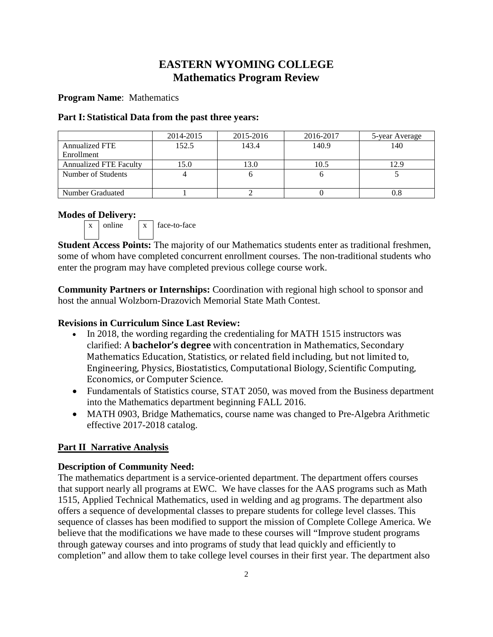# **EASTERN WYOMING COLLEGE Mathematics Program Review**

# **Program Name**: Mathematics

# **Part I: Statistical Data from the past three years:**

|                               | 2014-2015 | 2015-2016 | 2016-2017 | 5-year Average |
|-------------------------------|-----------|-----------|-----------|----------------|
| <b>Annualized FTE</b>         | 152.5     | 143.4     | 140.9     | 140            |
| Enrollment                    |           |           |           |                |
| <b>Annualized FTE Faculty</b> | 15.0      | 13.0      | 10.5      |                |
| Number of Students            |           |           |           |                |
| Number Graduated              |           |           |           |                |

# **Modes of Delivery:**



**Student Access Points:** The majority of our Mathematics students enter as traditional freshmen, some of whom have completed concurrent enrollment courses. The non-traditional students who enter the program may have completed previous college course work.

**Community Partners or Internships:** Coordination with regional high school to sponsor and host the annual Wolzborn-Drazovich Memorial State Math Contest.

# **Revisions in Curriculum Since Last Review:**

- In 2018, the wording regarding the credentialing for MATH 1515 instructors was clarified: A **bachelor's degree** with concentration in Mathematics, Secondary Mathematics Education, Statistics, or related field including, but not limited to, Engineering, Physics, Biostatistics, Computational Biology, Scientific Computing, Economics, or Computer Science.
- Fundamentals of Statistics course, STAT 2050, was moved from the Business department into the Mathematics department beginning FALL 2016.
- MATH 0903, Bridge Mathematics, course name was changed to Pre-Algebra Arithmetic effective 2017-2018 catalog.

# **Part II Narrative Analysis**

# **Description of Community Need:**

The mathematics department is a service-oriented department. The department offers courses that support nearly all programs at EWC. We have classes for the AAS programs such as Math 1515, Applied Technical Mathematics, used in welding and ag programs. The department also offers a sequence of developmental classes to prepare students for college level classes. This sequence of classes has been modified to support the mission of Complete College America. We believe that the modifications we have made to these courses will "Improve student programs through gateway courses and into programs of study that lead quickly and efficiently to completion" and allow them to take college level courses in their first year. The department also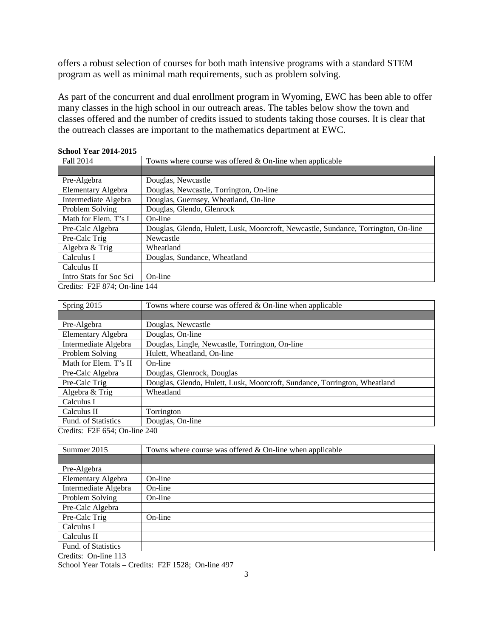offers a robust selection of courses for both math intensive programs with a standard STEM program as well as minimal math requirements, such as problem solving.

As part of the concurrent and dual enrollment program in Wyoming, EWC has been able to offer many classes in the high school in our outreach areas. The tables below show the town and classes offered and the number of credits issued to students taking those courses. It is clear that the outreach classes are important to the mathematics department at EWC.

| Fall 2014                      | Towns where course was offered $&$ On-line when applicable                         |
|--------------------------------|------------------------------------------------------------------------------------|
|                                |                                                                                    |
| Pre-Algebra                    | Douglas, Newcastle                                                                 |
| Elementary Algebra             | Douglas, Newcastle, Torrington, On-line                                            |
| Intermediate Algebra           | Douglas, Guernsey, Wheatland, On-line                                              |
| Problem Solving                | Douglas, Glendo, Glenrock                                                          |
| Math for Elem. T's I           | On-line                                                                            |
| Pre-Calc Algebra               | Douglas, Glendo, Hulett, Lusk, Moorcroft, Newcastle, Sundance, Torrington, On-line |
| Pre-Calc Trig                  | Newcastle                                                                          |
| Algebra & Trig                 | Wheatland                                                                          |
| Calculus I                     | Douglas, Sundance, Wheatland                                                       |
| Calculus II                    |                                                                                    |
| Intro Stats for Soc Sci        | On-line                                                                            |
| $\alpha$ is parameter $\alpha$ | $\overline{1}$                                                                     |

# **School Year 2014-2015**

Credits: F2F 874; On-line 144

| Spring 2015                          | Towns where course was offered $&$ On-line when applicable                |
|--------------------------------------|---------------------------------------------------------------------------|
|                                      |                                                                           |
| Pre-Algebra                          | Douglas, Newcastle                                                        |
| Elementary Algebra                   | Douglas, On-line                                                          |
| Intermediate Algebra                 | Douglas, Lingle, Newcastle, Torrington, On-line                           |
| Problem Solving                      | Hulett, Wheatland, On-line                                                |
| Math for Elem. T's II                | On-line                                                                   |
| Pre-Calc Algebra                     | Douglas, Glenrock, Douglas                                                |
| Pre-Calc Trig                        | Douglas, Glendo, Hulett, Lusk, Moorcroft, Sundance, Torrington, Wheatland |
| Algebra & Trig                       | Wheatland                                                                 |
| Calculus I                           |                                                                           |
| Calculus II                          | Torrington                                                                |
| Fund. of Statistics                  | Douglas, On-line                                                          |
| $Crodite$ : $F2F654$ ; On $lino 240$ |                                                                           |

Credits: F2F 654; On-line 240

| Summer 2015          | Towns where course was offered $&$ On-line when applicable |
|----------------------|------------------------------------------------------------|
|                      |                                                            |
| Pre-Algebra          |                                                            |
| Elementary Algebra   | On-line                                                    |
| Intermediate Algebra | On-line                                                    |
| Problem Solving      | On-line                                                    |
| Pre-Calc Algebra     |                                                            |
| Pre-Calc Trig        | On-line                                                    |
| Calculus I           |                                                            |
| Calculus II          |                                                            |
| Fund. of Statistics  |                                                            |
| Credits: On-line 113 |                                                            |

School Year Totals – Credits: F2F 1528; On-line 497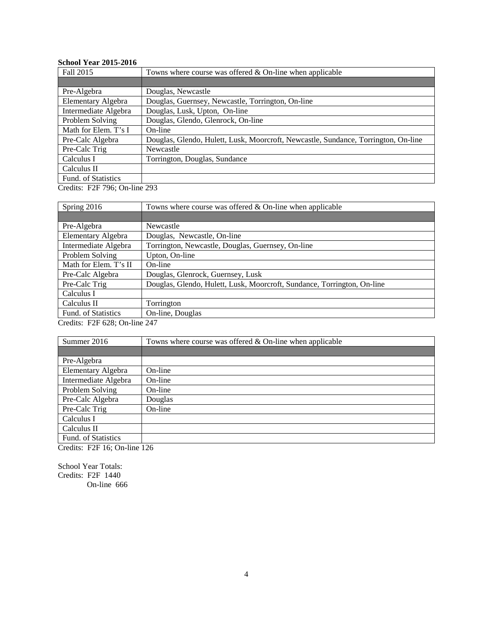# **School Year 2015-2016**

| Fall 2015            | Towns where course was offered $&$ On-line when applicable                         |
|----------------------|------------------------------------------------------------------------------------|
|                      |                                                                                    |
| Pre-Algebra          | Douglas, Newcastle                                                                 |
| Elementary Algebra   | Douglas, Guernsey, Newcastle, Torrington, On-line                                  |
| Intermediate Algebra | Douglas, Lusk, Upton, On-line                                                      |
| Problem Solving      | Douglas, Glendo, Glenrock, On-line                                                 |
| Math for Elem. T's I | On-line                                                                            |
| Pre-Calc Algebra     | Douglas, Glendo, Hulett, Lusk, Moorcroft, Newcastle, Sundance, Torrington, On-line |
| Pre-Calc Trig        | Newcastle                                                                          |
| Calculus I           | Torrington, Douglas, Sundance                                                      |
| Calculus II          |                                                                                    |
| Fund. of Statistics  |                                                                                    |

Credits: F2F 796; On-line 293

| Spring 2016                                                                                                                                                                        | Towns where course was offered $&$ On-line when applicable              |
|------------------------------------------------------------------------------------------------------------------------------------------------------------------------------------|-------------------------------------------------------------------------|
|                                                                                                                                                                                    |                                                                         |
| Pre-Algebra                                                                                                                                                                        | Newcastle                                                               |
| Elementary Algebra                                                                                                                                                                 | Douglas, Newcastle, On-line                                             |
| Intermediate Algebra                                                                                                                                                               | Torrington, Newcastle, Douglas, Guernsey, On-line                       |
| Problem Solving                                                                                                                                                                    | Upton, On-line                                                          |
| Math for Elem. T's II                                                                                                                                                              | On-line                                                                 |
| Pre-Calc Algebra                                                                                                                                                                   | Douglas, Glenrock, Guernsey, Lusk                                       |
| Pre-Calc Trig                                                                                                                                                                      | Douglas, Glendo, Hulett, Lusk, Moorcroft, Sundance, Torrington, On-line |
| Calculus I                                                                                                                                                                         |                                                                         |
| Calculus II                                                                                                                                                                        | Torrington                                                              |
| Fund. of Statistics                                                                                                                                                                | On-line, Douglas                                                        |
| $C_{\text{mod}}$ $\mathcal{L}_{\text{tot}}$ $\mathcal{L}_{\text{tot}}$ $\mathcal{L}_{\text{tot}}$ $\mathcal{L}_{\text{tot}}$ $\mathcal{L}_{\text{tot}}$ $\mathcal{L}_{\text{tot}}$ |                                                                         |

Credits: F2F 628; On-line 247

| Summer 2016          | Towns where course was offered $&$ On-line when applicable |
|----------------------|------------------------------------------------------------|
|                      |                                                            |
| Pre-Algebra          |                                                            |
| Elementary Algebra   | On-line                                                    |
| Intermediate Algebra | On-line                                                    |
| Problem Solving      | On-line                                                    |
| Pre-Calc Algebra     | Douglas                                                    |
| Pre-Calc Trig        | On-line                                                    |
| Calculus I           |                                                            |
| Calculus II          |                                                            |
| Fund. of Statistics  |                                                            |

Credits: F2F 16; On-line 126

School Year Totals: Credits: F2F 1440 On-line 666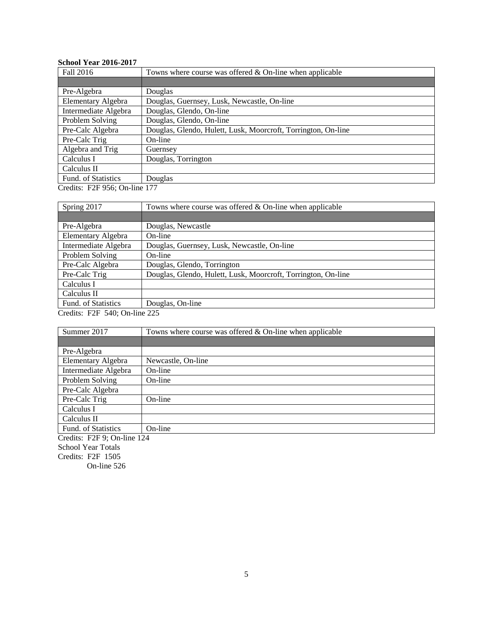# **School Year 2016-2017**

| Fall 2016              | Towns where course was offered $&$ On-line when applicable    |
|------------------------|---------------------------------------------------------------|
|                        |                                                               |
| Pre-Algebra            | Douglas                                                       |
| Elementary Algebra     | Douglas, Guernsey, Lusk, Newcastle, On-line                   |
| Intermediate Algebra   | Douglas, Glendo, On-line                                      |
| Problem Solving        | Douglas, Glendo, On-line                                      |
| Pre-Calc Algebra       | Douglas, Glendo, Hulett, Lusk, Moorcroft, Torrington, On-line |
| Pre-Calc Trig          | On-line                                                       |
| Algebra and Trig       | Guernsey                                                      |
| Calculus I             | Douglas, Torrington                                           |
| Calculus II            |                                                               |
| Fund. of Statistics    | Douglas                                                       |
| $\alpha$ is paraged as | 1.77                                                          |

Credits: F2F 956; On-line 177

| Spring 2017                   | Towns where course was offered $&$ On-line when applicable    |  |
|-------------------------------|---------------------------------------------------------------|--|
|                               |                                                               |  |
| Pre-Algebra                   | Douglas, Newcastle                                            |  |
| Elementary Algebra            | On-line                                                       |  |
| Intermediate Algebra          | Douglas, Guernsey, Lusk, Newcastle, On-line                   |  |
| Problem Solving               | On-line                                                       |  |
| Pre-Calc Algebra              | Douglas, Glendo, Torrington                                   |  |
| Pre-Calc Trig                 | Douglas, Glendo, Hulett, Lusk, Moorcroft, Torrington, On-line |  |
| Calculus I                    |                                                               |  |
| Calculus II                   |                                                               |  |
| Fund. of Statistics           | Douglas, On-line                                              |  |
| Credits: F2F 540; On-line 225 |                                                               |  |

| Summer 2017                 | Towns where course was offered $&$ On-line when applicable |
|-----------------------------|------------------------------------------------------------|
|                             |                                                            |
| Pre-Algebra                 |                                                            |
| Elementary Algebra          | Newcastle, On-line                                         |
| Intermediate Algebra        | On-line                                                    |
| Problem Solving             | On-line                                                    |
| Pre-Calc Algebra            |                                                            |
| Pre-Calc Trig               | On-line                                                    |
| Calculus I                  |                                                            |
| Calculus II                 |                                                            |
| Fund. of Statistics         | On-line                                                    |
| Credits: F2F 9; On-line 124 |                                                            |
| <b>School Year Totals</b>   |                                                            |
| Credits: $F2F$ 1505         |                                                            |

On-line 526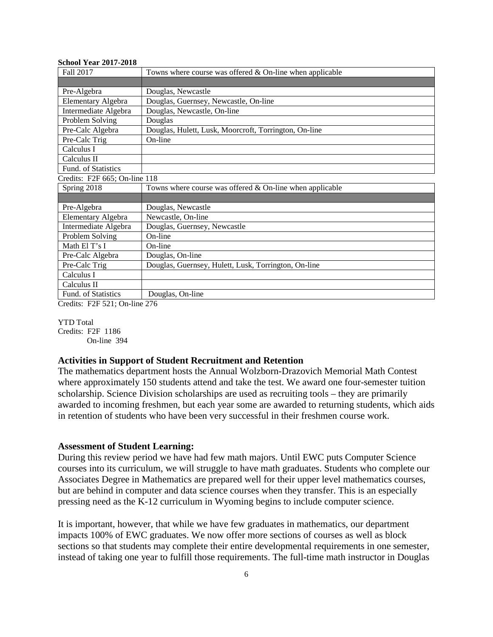| 5011001 1 cal <i>4</i> 01 <i>1 - 4</i> 010 |                                                            |
|--------------------------------------------|------------------------------------------------------------|
| Fall 2017                                  | Towns where course was offered $&$ On-line when applicable |
|                                            |                                                            |
| Pre-Algebra                                | Douglas, Newcastle                                         |
| <b>Elementary Algebra</b>                  | Douglas, Guernsey, Newcastle, On-line                      |
| Intermediate Algebra                       | Douglas, Newcastle, On-line                                |
| Problem Solving                            | Douglas                                                    |
| Pre-Calc Algebra                           | Douglas, Hulett, Lusk, Moorcroft, Torrington, On-line      |
| Pre-Calc Trig                              | On-line                                                    |
| Calculus I                                 |                                                            |
| Calculus II                                |                                                            |
| Fund. of Statistics                        |                                                            |
| Credits: F2F 665; On-line 118              |                                                            |
| Spring 2018                                | Towns where course was offered $&$ On-line when applicable |
|                                            |                                                            |
| Pre-Algebra                                | Douglas, Newcastle                                         |
| <b>Elementary Algebra</b>                  | Newcastle, On-line                                         |
| Intermediate Algebra                       | Douglas, Guernsey, Newcastle                               |
| Problem Solving                            | On-line                                                    |
| Math El T's I                              | On-line                                                    |
| Pre-Calc Algebra                           | Douglas, On-line                                           |
| Pre-Calc Trig                              | Douglas, Guernsey, Hulett, Lusk, Torrington, On-line       |
| Calculus I                                 |                                                            |
| Calculus II                                |                                                            |
| Fund. of Statistics                        | Douglas, On-line                                           |

Credits: F2F 521; On-line 276

YTD Total

Credits: F2F 1186 On-line 394

**School Year 2017-2018**

#### **Activities in Support of Student Recruitment and Retention**

The mathematics department hosts the Annual Wolzborn-Drazovich Memorial Math Contest where approximately 150 students attend and take the test. We award one four-semester tuition scholarship. Science Division scholarships are used as recruiting tools – they are primarily awarded to incoming freshmen, but each year some are awarded to returning students, which aids in retention of students who have been very successful in their freshmen course work.

## **Assessment of Student Learning:**

During this review period we have had few math majors. Until EWC puts Computer Science courses into its curriculum, we will struggle to have math graduates. Students who complete our Associates Degree in Mathematics are prepared well for their upper level mathematics courses, but are behind in computer and data science courses when they transfer. This is an especially pressing need as the K-12 curriculum in Wyoming begins to include computer science.

It is important, however, that while we have few graduates in mathematics, our department impacts 100% of EWC graduates. We now offer more sections of courses as well as block sections so that students may complete their entire developmental requirements in one semester, instead of taking one year to fulfill those requirements. The full-time math instructor in Douglas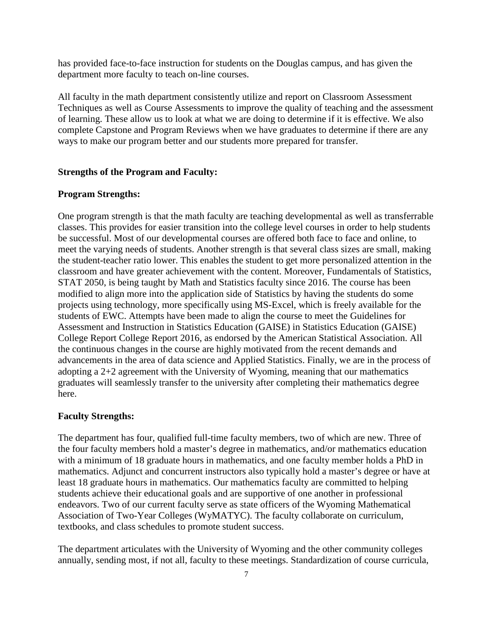has provided face-to-face instruction for students on the Douglas campus, and has given the department more faculty to teach on-line courses.

All faculty in the math department consistently utilize and report on Classroom Assessment Techniques as well as Course Assessments to improve the quality of teaching and the assessment of learning. These allow us to look at what we are doing to determine if it is effective. We also complete Capstone and Program Reviews when we have graduates to determine if there are any ways to make our program better and our students more prepared for transfer.

## **Strengths of the Program and Faculty:**

## **Program Strengths:**

One program strength is that the math faculty are teaching developmental as well as transferrable classes. This provides for easier transition into the college level courses in order to help students be successful. Most of our developmental courses are offered both face to face and online, to meet the varying needs of students. Another strength is that several class sizes are small, making the student-teacher ratio lower. This enables the student to get more personalized attention in the classroom and have greater achievement with the content. Moreover, Fundamentals of Statistics, STAT 2050, is being taught by Math and Statistics faculty since 2016. The course has been modified to align more into the application side of Statistics by having the students do some projects using technology, more specifically using MS-Excel, which is freely available for the students of EWC. Attempts have been made to align the course to meet the Guidelines for Assessment and Instruction in Statistics Education (GAISE) in Statistics Education (GAISE) College Report College Report 2016, as endorsed by the American Statistical Association. All the continuous changes in the course are highly motivated from the recent demands and advancements in the area of data science and Applied Statistics. Finally, we are in the process of adopting a 2+2 agreement with the University of Wyoming, meaning that our mathematics graduates will seamlessly transfer to the university after completing their mathematics degree here.

## **Faculty Strengths:**

The department has four, qualified full-time faculty members, two of which are new. Three of the four faculty members hold a master's degree in mathematics, and/or mathematics education with a minimum of 18 graduate hours in mathematics, and one faculty member holds a PhD in mathematics. Adjunct and concurrent instructors also typically hold a master's degree or have at least 18 graduate hours in mathematics. Our mathematics faculty are committed to helping students achieve their educational goals and are supportive of one another in professional endeavors. Two of our current faculty serve as state officers of the Wyoming Mathematical Association of Two-Year Colleges (WyMATYC). The faculty collaborate on curriculum, textbooks, and class schedules to promote student success.

The department articulates with the University of Wyoming and the other community colleges annually, sending most, if not all, faculty to these meetings. Standardization of course curricula,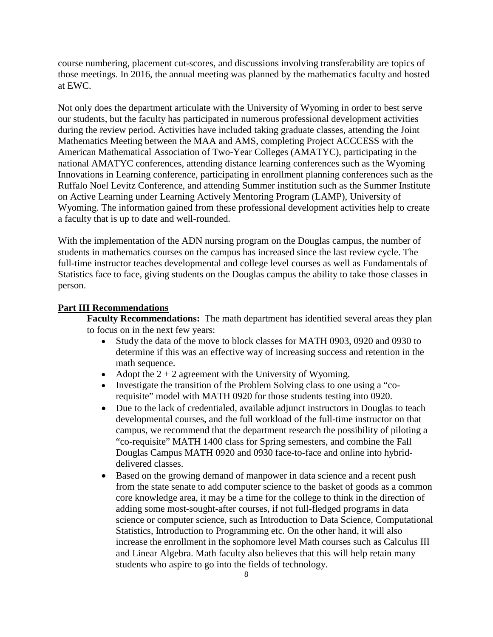course numbering, placement cut-scores, and discussions involving transferability are topics of those meetings. In 2016, the annual meeting was planned by the mathematics faculty and hosted at EWC.

Not only does the department articulate with the University of Wyoming in order to best serve our students, but the faculty has participated in numerous professional development activities during the review period. Activities have included taking graduate classes, attending the Joint Mathematics Meeting between the MAA and AMS, completing Project ACCCESS with the American Mathematical Association of Two-Year Colleges (AMATYC), participating in the national AMATYC conferences, attending distance learning conferences such as the Wyoming Innovations in Learning conference, participating in enrollment planning conferences such as the Ruffalo Noel Levitz Conference, and attending Summer institution such as the Summer Institute on Active Learning under Learning Actively Mentoring Program (LAMP), University of Wyoming. The information gained from these professional development activities help to create a faculty that is up to date and well-rounded.

With the implementation of the ADN nursing program on the Douglas campus, the number of students in mathematics courses on the campus has increased since the last review cycle. The full-time instructor teaches developmental and college level courses as well as Fundamentals of Statistics face to face, giving students on the Douglas campus the ability to take those classes in person.

#### **Part III Recommendations**

**Faculty Recommendations:** The math department has identified several areas they plan to focus on in the next few years:

- Study the data of the move to block classes for MATH 0903, 0920 and 0930 to determine if this was an effective way of increasing success and retention in the math sequence.
- Adopt the  $2 + 2$  agreement with the University of Wyoming.
- Investigate the transition of the Problem Solving class to one using a "corequisite" model with MATH 0920 for those students testing into 0920.
- Due to the lack of credentialed, available adjunct instructors in Douglas to teach developmental courses, and the full workload of the full-time instructor on that campus, we recommend that the department research the possibility of piloting a "co-requisite" MATH 1400 class for Spring semesters, and combine the Fall Douglas Campus MATH 0920 and 0930 face-to-face and online into hybriddelivered classes.
- Based on the growing demand of manpower in data science and a recent push from the state senate to add computer science to the basket of goods as a common core knowledge area, it may be a time for the college to think in the direction of adding some most-sought-after courses, if not full-fledged programs in data science or computer science, such as Introduction to Data Science, Computational Statistics, Introduction to Programming etc. On the other hand, it will also increase the enrollment in the sophomore level Math courses such as Calculus III and Linear Algebra. Math faculty also believes that this will help retain many students who aspire to go into the fields of technology.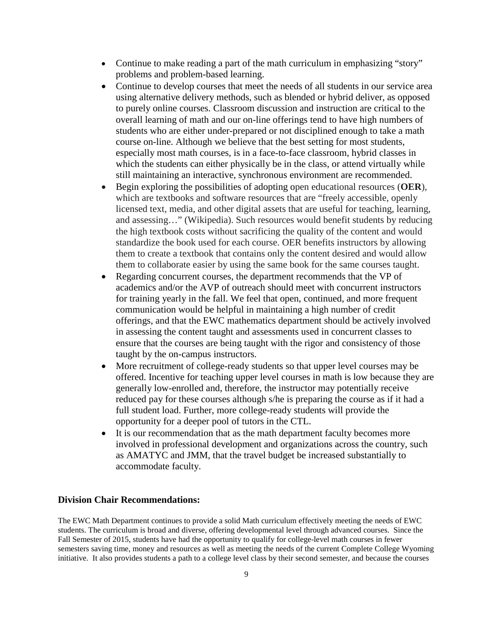- Continue to make reading a part of the math curriculum in emphasizing "story" problems and problem-based learning.
- Continue to develop courses that meet the needs of all students in our service area using alternative delivery methods, such as blended or hybrid deliver, as opposed to purely online courses. Classroom discussion and instruction are critical to the overall learning of math and our on-line offerings tend to have high numbers of students who are either under-prepared or not disciplined enough to take a math course on-line. Although we believe that the best setting for most students, especially most math courses, is in a face-to-face classroom, hybrid classes in which the students can either physically be in the class, or attend virtually while still maintaining an interactive, synchronous environment are recommended.
- Begin exploring the possibilities of adopting open educational resources (**OER**), which are textbooks and software resources that are "freely accessible, openly licensed text, media, and other digital assets that are useful for teaching, learning, and assessing…" (Wikipedia). Such resources would benefit students by reducing the high textbook costs without sacrificing the quality of the content and would standardize the book used for each course. OER benefits instructors by allowing them to create a textbook that contains only the content desired and would allow them to collaborate easier by using the same book for the same courses taught.
- Regarding concurrent courses, the department recommends that the VP of academics and/or the AVP of outreach should meet with concurrent instructors for training yearly in the fall. We feel that open, continued, and more frequent communication would be helpful in maintaining a high number of credit offerings, and that the EWC mathematics department should be actively involved in assessing the content taught and assessments used in concurrent classes to ensure that the courses are being taught with the rigor and consistency of those taught by the on-campus instructors.
- More recruitment of college-ready students so that upper level courses may be offered. Incentive for teaching upper level courses in math is low because they are generally low-enrolled and, therefore, the instructor may potentially receive reduced pay for these courses although s/he is preparing the course as if it had a full student load. Further, more college-ready students will provide the opportunity for a deeper pool of tutors in the CTL.
- It is our recommendation that as the math department faculty becomes more involved in professional development and organizations across the country, such as AMATYC and JMM, that the travel budget be increased substantially to accommodate faculty.

#### **Division Chair Recommendations:**

The EWC Math Department continues to provide a solid Math curriculum effectively meeting the needs of EWC students. The curriculum is broad and diverse, offering developmental level through advanced courses. Since the Fall Semester of 2015, students have had the opportunity to qualify for college-level math courses in fewer semesters saving time, money and resources as well as meeting the needs of the current Complete College Wyoming initiative. It also provides students a path to a college level class by their second semester, and because the courses